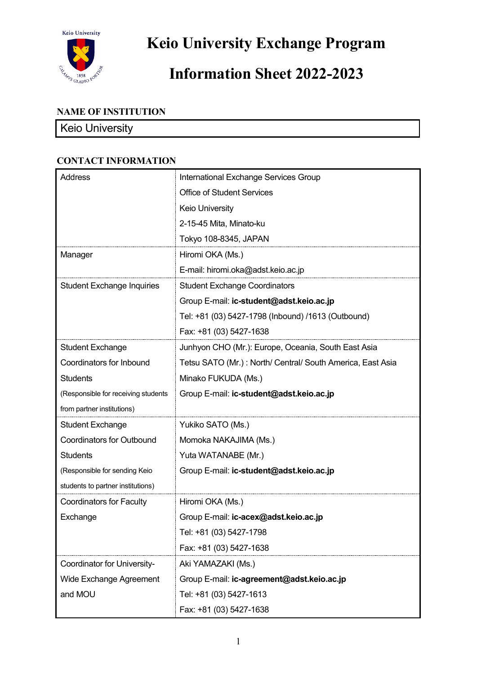

**Keio University Exchange Program**

# **Information Sheet 2022-2023**

## **NAME OF INSTITUTION**

# Keio University

| <b>Address</b>                      | International Exchange Services Group                      |
|-------------------------------------|------------------------------------------------------------|
|                                     | <b>Office of Student Services</b>                          |
|                                     | Keio University                                            |
|                                     | 2-15-45 Mita, Minato-ku                                    |
|                                     | Tokyo 108-8345, JAPAN                                      |
| Manager                             | Hiromi OKA (Ms.)                                           |
|                                     | E-mail: hiromi.oka@adst.keio.ac.jp                         |
| <b>Student Exchange Inquiries</b>   | <b>Student Exchange Coordinators</b>                       |
|                                     | Group E-mail: ic-student@adst.keio.ac.jp                   |
|                                     | Tel: +81 (03) 5427-1798 (Inbound) /1613 (Outbound)         |
|                                     | Fax: +81 (03) 5427-1638                                    |
| <b>Student Exchange</b>             | Junhyon CHO (Mr.): Europe, Oceania, South East Asia        |
| Coordinators for Inbound            | Tetsu SATO (Mr.): North/ Central/ South America, East Asia |
| <b>Students</b>                     | Minako FUKUDA (Ms.)                                        |
| (Responsible for receiving students | Group E-mail: ic-student@adst.keio.ac.jp                   |
| from partner institutions)          |                                                            |
| <b>Student Exchange</b>             | Yukiko SATO (Ms.)                                          |
| <b>Coordinators for Outbound</b>    | Momoka NAKAJIMA (Ms.)                                      |
| <b>Students</b>                     | Yuta WATANABE (Mr.)                                        |
| (Responsible for sending Keio       | Group E-mail: ic-student@adst.keio.ac.jp                   |
| students to partner institutions)   |                                                            |
| <b>Coordinators for Faculty</b>     | Hiromi OKA (Ms.)                                           |
| Exchange                            | Group E-mail: ic-acex@adst.keio.ac.jp                      |
|                                     | Tel: +81 (03) 5427-1798                                    |
|                                     | Fax: +81 (03) 5427-1638                                    |
| Coordinator for University-         | Aki YAMAZAKI (Ms.)                                         |
| Wide Exchange Agreement             | Group E-mail: ic-agreement@adst.keio.ac.jp                 |
| and MOU                             | Tel: +81 (03) 5427-1613                                    |
|                                     | Fax: +81 (03) 5427-1638                                    |

#### **CONTACT INFORMATION**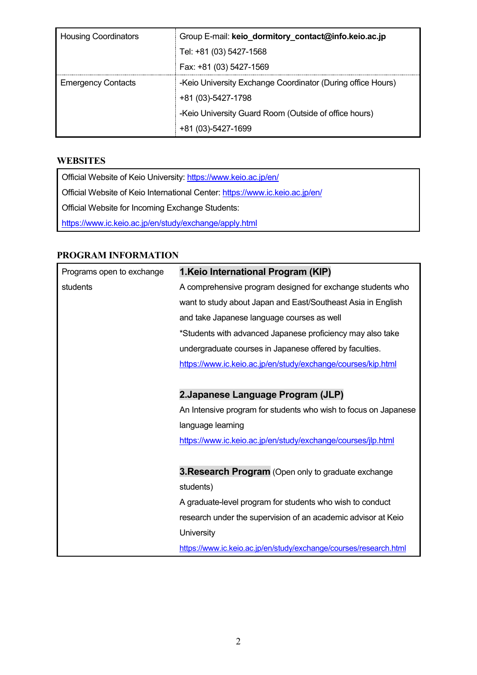| <b>Housing Coordinators</b> | Group E-mail: keio_dormitory_contact@info.keio.ac.jp        |  |
|-----------------------------|-------------------------------------------------------------|--|
|                             | Tel: +81 (03) 5427-1568                                     |  |
|                             | Fax: +81 (03) 5427-1569                                     |  |
| <b>Emergency Contacts</b>   | -Keio University Exchange Coordinator (During office Hours) |  |
|                             | +81 (03)-5427-1798                                          |  |
|                             | -Keio University Guard Room (Outside of office hours)       |  |
|                             | +81 (03)-5427-1699                                          |  |

#### **WEBSITES**

Official Website of Keio University: https://www.keio.ac.jp/en/ Official Website of Keio International Center:<https://www.ic.keio.ac.jp/en/> Official Website for Incoming Exchange Students: <https://www.ic.keio.ac.jp/en/study/exchange/apply.html>

#### **PROGRAM INFORMATION**

| Programs open to exchange | 1. Keio International Program (KIP)                               |
|---------------------------|-------------------------------------------------------------------|
| students                  | A comprehensive program designed for exchange students who        |
|                           | want to study about Japan and East/Southeast Asia in English      |
|                           | and take Japanese language courses as well                        |
|                           | *Students with advanced Japanese proficiency may also take        |
|                           | undergraduate courses in Japanese offered by faculties.           |
|                           | https://www.ic.keio.ac.jp/en/study/exchange/courses/kip.html      |
|                           |                                                                   |
|                           | 2. Japanese Language Program (JLP)                                |
|                           | An Intensive program for students who wish to focus on Japanese   |
|                           | language learning                                                 |
|                           | https://www.ic.keio.ac.jp/en/study/exchange/courses/jlp.html      |
|                           |                                                                   |
|                           | 3. Research Program (Open only to graduate exchange               |
|                           | students)                                                         |
|                           | A graduate-level program for students who wish to conduct         |
|                           | research under the supervision of an academic advisor at Keio     |
|                           | University                                                        |
|                           | https://www.ic.keio.ac.jp/en/study/exchange/courses/research.html |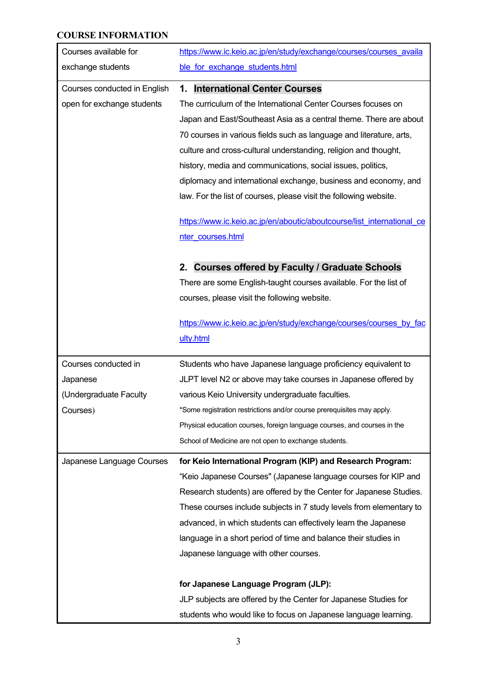## **COURSE INFORMATION**

| Courses available for        | https://www.ic.keio.ac.jp/en/study/exchange/courses/courses availa       |
|------------------------------|--------------------------------------------------------------------------|
| exchange students            | ble for exchange students.html                                           |
| Courses conducted in English | <b>International Center Courses</b><br>1.                                |
| open for exchange students   | The curriculum of the International Center Courses focuses on            |
|                              | Japan and East/Southeast Asia as a central theme. There are about        |
|                              | 70 courses in various fields such as language and literature, arts,      |
|                              | culture and cross-cultural understanding, religion and thought,          |
|                              | history, media and communications, social issues, politics,              |
|                              | diplomacy and international exchange, business and economy, and          |
|                              | law. For the list of courses, please visit the following website.        |
|                              | https://www.ic.keio.ac.jp/en/aboutic/aboutcourse/list international ce   |
|                              | nter courses.html                                                        |
|                              | <b>Courses offered by Faculty / Graduate Schools</b><br>2.               |
|                              | There are some English-taught courses available. For the list of         |
|                              | courses, please visit the following website.                             |
|                              |                                                                          |
|                              | https://www.ic.keio.ac.jp/en/study/exchange/courses/courses by fac       |
|                              | ulty.html                                                                |
| Courses conducted in         | Students who have Japanese language proficiency equivalent to            |
| Japanese                     | JLPT level N2 or above may take courses in Japanese offered by           |
| (Undergraduate Faculty       | various Keio University undergraduate faculties.                         |
| Courses)                     | *Some registration restrictions and/or course prerequisites may apply.   |
|                              | Physical education courses, foreign language courses, and courses in the |
|                              | School of Medicine are not open to exchange students.                    |
| Japanese Language Courses    | for Keio International Program (KIP) and Research Program:               |
|                              | "Keio Japanese Courses" (Japanese language courses for KIP and           |
|                              | Research students) are offered by the Center for Japanese Studies.       |
|                              | These courses include subjects in 7 study levels from elementary to      |
|                              | advanced, in which students can effectively learn the Japanese           |
|                              | language in a short period of time and balance their studies in          |
|                              | Japanese language with other courses.                                    |
|                              | for Japanese Language Program (JLP):                                     |
|                              | JLP subjects are offered by the Center for Japanese Studies for          |
|                              | students who would like to focus on Japanese language learning.          |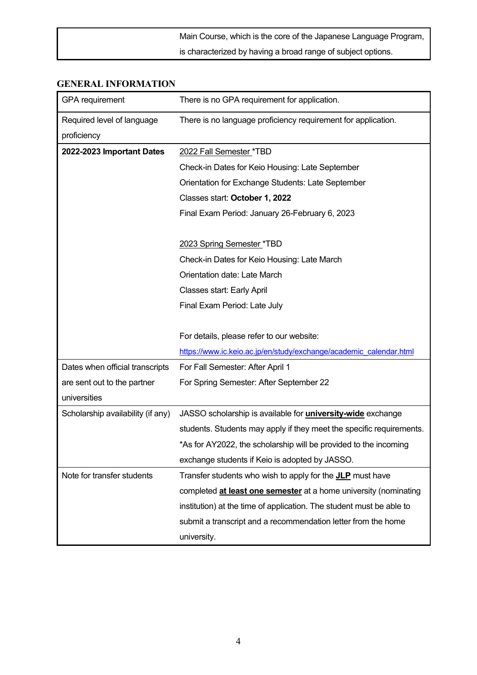| Main Course, which is the core of the Japanese Language Program, |
|------------------------------------------------------------------|
| is characterized by having a broad range of subject options.     |

#### **GENERAL INFORMATION**

| <b>GPA</b> requirement            | There is no GPA requirement for application.                         |  |
|-----------------------------------|----------------------------------------------------------------------|--|
| Required level of language        | There is no language proficiency requirement for application.        |  |
| proficiency                       |                                                                      |  |
| 2022-2023 Important Dates         | 2022 Fall Semester *TBD                                              |  |
|                                   | Check-in Dates for Keio Housing: Late September                      |  |
|                                   | Orientation for Exchange Students: Late September                    |  |
|                                   | Classes start: October 1, 2022                                       |  |
|                                   | Final Exam Period: January 26-February 6, 2023                       |  |
|                                   |                                                                      |  |
|                                   | 2023 Spring Semester *TBD                                            |  |
|                                   | Check-in Dates for Keio Housing: Late March                          |  |
|                                   | Orientation date: Late March                                         |  |
|                                   | Classes start: Early April                                           |  |
|                                   | Final Exam Period: Late July                                         |  |
|                                   |                                                                      |  |
|                                   | For details, please refer to our website:                            |  |
|                                   | https://www.ic.keio.ac.jp/en/study/exchange/academic_calendar.html   |  |
| Dates when official transcripts   | For Fall Semester: After April 1                                     |  |
| are sent out to the partner       | For Spring Semester: After September 22                              |  |
| universities                      |                                                                      |  |
| Scholarship availability (if any) | JASSO scholarship is available for <i>university-wide</i> exchange   |  |
|                                   | students. Students may apply if they meet the specific requirements. |  |
|                                   | *As for AY2022, the scholarship will be provided to the incoming     |  |
|                                   | exchange students if Keio is adopted by JASSO.                       |  |
| Note for transfer students        | Transfer students who wish to apply for the <b>JLP</b> must have     |  |
|                                   | completed at least one semester at a home university (nominating     |  |
|                                   | institution) at the time of application. The student must be able to |  |
|                                   | submit a transcript and a recommendation letter from the home        |  |
|                                   | university.                                                          |  |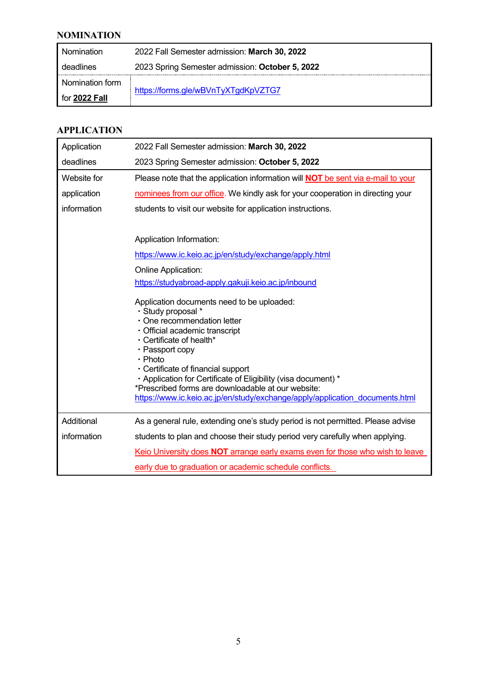## **NOMINATION**

| <b>Nomination</b> | 2022 Fall Semester admission: March 30, 2022    |  |
|-------------------|-------------------------------------------------|--|
| deadlines         | 2023 Spring Semester admission: October 5, 2022 |  |
| Nomination form   |                                                 |  |
| for 2022 Fall     | https://forms.gle/wBVnTyXTgdKpVZTG7             |  |

#### **APPLICATION**

| Application | 2022 Fall Semester admission: March 30, 2022                                                                                                                                                                                                                                                                                                                                                                                                                                                                                                                                                                        |  |
|-------------|---------------------------------------------------------------------------------------------------------------------------------------------------------------------------------------------------------------------------------------------------------------------------------------------------------------------------------------------------------------------------------------------------------------------------------------------------------------------------------------------------------------------------------------------------------------------------------------------------------------------|--|
| deadlines   | 2023 Spring Semester admission: October 5, 2022                                                                                                                                                                                                                                                                                                                                                                                                                                                                                                                                                                     |  |
| Website for | Please note that the application information will <b>NOT</b> be sent via e-mail to your                                                                                                                                                                                                                                                                                                                                                                                                                                                                                                                             |  |
| application | nominees from our office. We kindly ask for your cooperation in directing your                                                                                                                                                                                                                                                                                                                                                                                                                                                                                                                                      |  |
| information | students to visit our website for application instructions.                                                                                                                                                                                                                                                                                                                                                                                                                                                                                                                                                         |  |
|             | Application Information:<br>https://www.ic.keio.ac.jp/en/study/exchange/apply.html<br>Online Application:<br>https://studyabroad-apply.gakuji.keio.ac.jp/inbound<br>Application documents need to be uploaded:<br>· Study proposal *<br>· One recommendation letter<br>· Official academic transcript<br>· Certificate of health*<br>• Passport copy<br>$\cdot$ Photo<br>• Certificate of financial support<br>· Application for Certificate of Eligibility (visa document) *<br>*Prescribed forms are downloadable at our website:<br>https://www.ic.keio.ac.jp/en/study/exchange/apply/application_documents.html |  |
| Additional  | As a general rule, extending one's study period is not permitted. Please advise                                                                                                                                                                                                                                                                                                                                                                                                                                                                                                                                     |  |
| information | students to plan and choose their study period very carefully when applying.                                                                                                                                                                                                                                                                                                                                                                                                                                                                                                                                        |  |
|             | Keio University does NOT arrange early exams even for those who wish to leave                                                                                                                                                                                                                                                                                                                                                                                                                                                                                                                                       |  |
|             | early due to graduation or academic schedule conflicts.                                                                                                                                                                                                                                                                                                                                                                                                                                                                                                                                                             |  |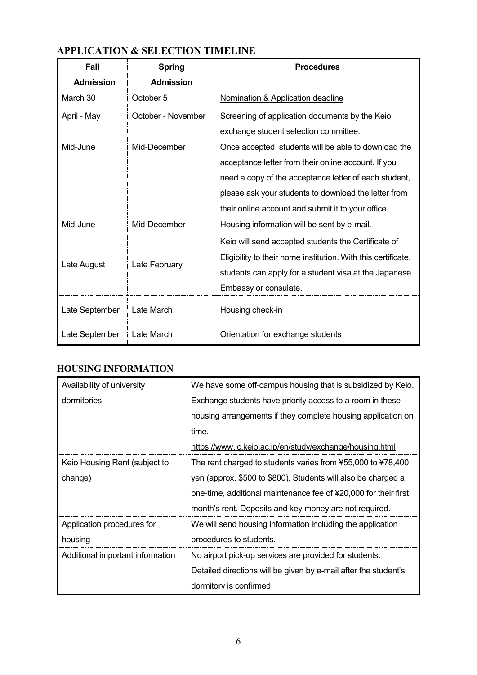| Fall             | <b>Spring</b>      | <b>Procedures</b>                                             |
|------------------|--------------------|---------------------------------------------------------------|
| <b>Admission</b> | <b>Admission</b>   |                                                               |
| March 30         | October 5          | Nomination & Application deadline                             |
| April - May      | October - November | Screening of application documents by the Keio                |
|                  |                    | exchange student selection committee.                         |
| Mid-June         | Mid-December       | Once accepted, students will be able to download the          |
|                  |                    | acceptance letter from their online account. If you           |
|                  |                    | need a copy of the acceptance letter of each student,         |
|                  |                    | please ask your students to download the letter from          |
|                  |                    | their online account and submit it to your office.            |
| Mid-June         | Mid-December       | Housing information will be sent by e-mail.                   |
|                  |                    | Keio will send accepted students the Certificate of           |
|                  | Late February      | Eligibility to their home institution. With this certificate, |
| Late August      |                    | students can apply for a student visa at the Japanese         |
|                  |                    | Embassy or consulate.                                         |
| Late September   | Late March         | Housing check-in                                              |
| Late September   | Late March         | Orientation for exchange students                             |

## **HOUSING INFORMATION**

| Availability of university       | We have some off-campus housing that is subsidized by Keio.     |
|----------------------------------|-----------------------------------------------------------------|
| dormitories                      | Exchange students have priority access to a room in these       |
|                                  | housing arrangements if they complete housing application on    |
|                                  | time.                                                           |
|                                  | https://www.ic.keio.ac.jp/en/study/exchange/housing.html        |
| Keio Housing Rent (subject to    | The rent charged to students varies from ¥55,000 to ¥78,400     |
| change)                          | yen (approx. \$500 to \$800). Students will also be charged a   |
|                                  | one-time, additional maintenance fee of ¥20,000 for their first |
|                                  | month's rent. Deposits and key money are not required.          |
| Application procedures for       | We will send housing information including the application      |
| housing                          | procedures to students.                                         |
| Additional important information | No airport pick-up services are provided for students.          |
|                                  | Detailed directions will be given by e-mail after the student's |
|                                  | dormitory is confirmed.                                         |